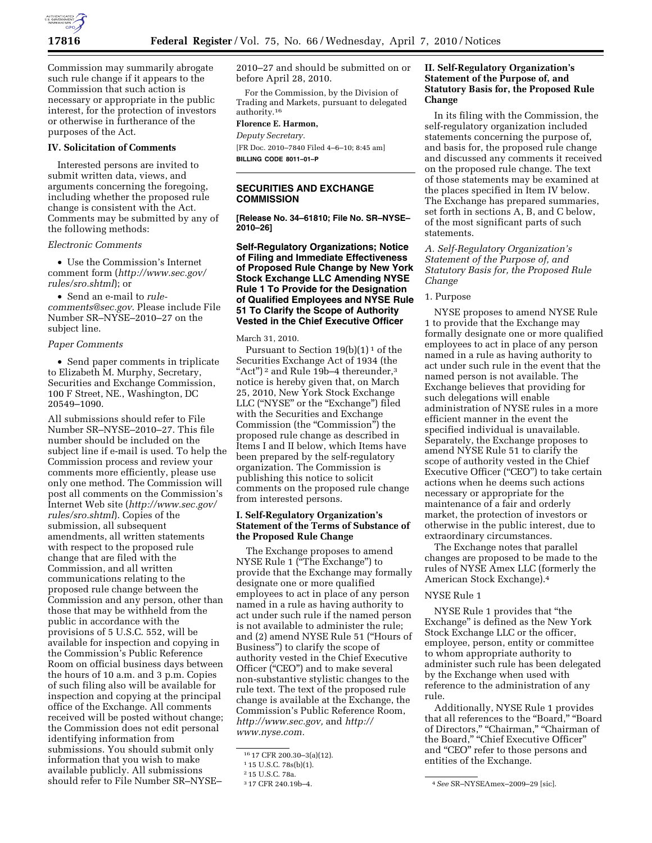

Commission may summarily abrogate such rule change if it appears to the Commission that such action is necessary or appropriate in the public interest, for the protection of investors or otherwise in furtherance of the purposes of the Act.

#### **IV. Solicitation of Comments**

Interested persons are invited to submit written data, views, and arguments concerning the foregoing, including whether the proposed rule change is consistent with the Act. Comments may be submitted by any of the following methods:

*Electronic Comments* 

• Use the Commission's Internet comment form (*http://www.sec.gov/ rules/sro.shtml*); or

• Send an e-mail to *rulecomments@sec.gov*. Please include File Number SR–NYSE–2010–27 on the subject line.

#### *Paper Comments*

• Send paper comments in triplicate to Elizabeth M. Murphy, Secretary, Securities and Exchange Commission, 100 F Street, NE., Washington, DC 20549–1090.

All submissions should refer to File Number SR–NYSE–2010–27. This file number should be included on the subject line if e-mail is used. To help the Commission process and review your comments more efficiently, please use only one method. The Commission will post all comments on the Commission's Internet Web site (*http://www.sec.gov/ rules/sro.shtml*). Copies of the submission, all subsequent amendments, all written statements with respect to the proposed rule change that are filed with the Commission, and all written communications relating to the proposed rule change between the Commission and any person, other than those that may be withheld from the public in accordance with the provisions of 5 U.S.C. 552, will be available for inspection and copying in the Commission's Public Reference Room on official business days between the hours of 10 a.m. and 3 p.m. Copies of such filing also will be available for inspection and copying at the principal office of the Exchange. All comments received will be posted without change; the Commission does not edit personal identifying information from submissions. You should submit only information that you wish to make available publicly. All submissions should refer to File Number SR–NYSE–

2010–27 and should be submitted on or before April 28, 2010.

For the Commission, by the Division of Trading and Markets, pursuant to delegated authority.16

# **Florence E. Harmon,**

*Deputy Secretary.*  [FR Doc. 2010–7840 Filed 4–6–10; 8:45 am]

**BILLING CODE 8011–01–P** 

## **SECURITIES AND EXCHANGE COMMISSION**

**[Release No. 34–61810; File No. SR–NYSE– 2010–26]** 

**Self-Regulatory Organizations; Notice of Filing and Immediate Effectiveness of Proposed Rule Change by New York Stock Exchange LLC Amending NYSE Rule 1 To Provide for the Designation of Qualified Employees and NYSE Rule 51 To Clarify the Scope of Authority Vested in the Chief Executive Officer** 

#### March 31, 2010.

Pursuant to Section  $19(b)(1)^1$  of the Securities Exchange Act of 1934 (the "Act")<sup>2</sup> and Rule 19b-4 thereunder, $3$ notice is hereby given that, on March 25, 2010, New York Stock Exchange LLC ("NYSE" or the "Exchange") filed with the Securities and Exchange Commission (the "Commission") the proposed rule change as described in Items I and II below, which Items have been prepared by the self-regulatory organization. The Commission is publishing this notice to solicit comments on the proposed rule change from interested persons.

## **I. Self-Regulatory Organization's Statement of the Terms of Substance of the Proposed Rule Change**

The Exchange proposes to amend NYSE Rule 1 (''The Exchange'') to provide that the Exchange may formally designate one or more qualified employees to act in place of any person named in a rule as having authority to act under such rule if the named person is not available to administer the rule; and (2) amend NYSE Rule 51 (''Hours of Business'') to clarify the scope of authority vested in the Chief Executive Officer ("CEO") and to make several non-substantive stylistic changes to the rule text. The text of the proposed rule change is available at the Exchange, the Commission's Public Reference Room, *http://www.sec.gov,* and *http:// www.nyse.com.* 

## **II. Self-Regulatory Organization's Statement of the Purpose of, and Statutory Basis for, the Proposed Rule Change**

In its filing with the Commission, the self-regulatory organization included statements concerning the purpose of, and basis for, the proposed rule change and discussed any comments it received on the proposed rule change. The text of those statements may be examined at the places specified in Item IV below. The Exchange has prepared summaries, set forth in sections A, B, and C below, of the most significant parts of such statements.

*A. Self-Regulatory Organization's Statement of the Purpose of, and Statutory Basis for, the Proposed Rule Change* 

## 1. Purpose

NYSE proposes to amend NYSE Rule 1 to provide that the Exchange may formally designate one or more qualified employees to act in place of any person named in a rule as having authority to act under such rule in the event that the named person is not available. The Exchange believes that providing for such delegations will enable administration of NYSE rules in a more efficient manner in the event the specified individual is unavailable. Separately, the Exchange proposes to amend NYSE Rule 51 to clarify the scope of authority vested in the Chief Executive Officer ("CEO") to take certain actions when he deems such actions necessary or appropriate for the maintenance of a fair and orderly market, the protection of investors or otherwise in the public interest, due to extraordinary circumstances.

The Exchange notes that parallel changes are proposed to be made to the rules of NYSE Amex LLC (formerly the American Stock Exchange).4

### NYSE Rule 1

NYSE Rule 1 provides that ''the Exchange'' is defined as the New York Stock Exchange LLC or the officer, employee, person, entity or committee to whom appropriate authority to administer such rule has been delegated by the Exchange when used with reference to the administration of any rule.

Additionally, NYSE Rule 1 provides that all references to the "Board," "Board of Directors," "Chairman," "Chairman of the Board," "Chief Executive Officer" and ''CEO'' refer to those persons and entities of the Exchange.

<sup>16</sup> 17 CFR 200.30–3(a)(12).

<sup>1</sup> 15 U.S.C. 78s(b)(1).

<sup>&</sup>lt;sup>2</sup> 15 U.S.C. 78a.<br><sup>3</sup> 17 CFR 240.19b-4.

<sup>3</sup> 17 CFR 240.19b–4. 4*See* SR–NYSEAmex–2009–29 [sic].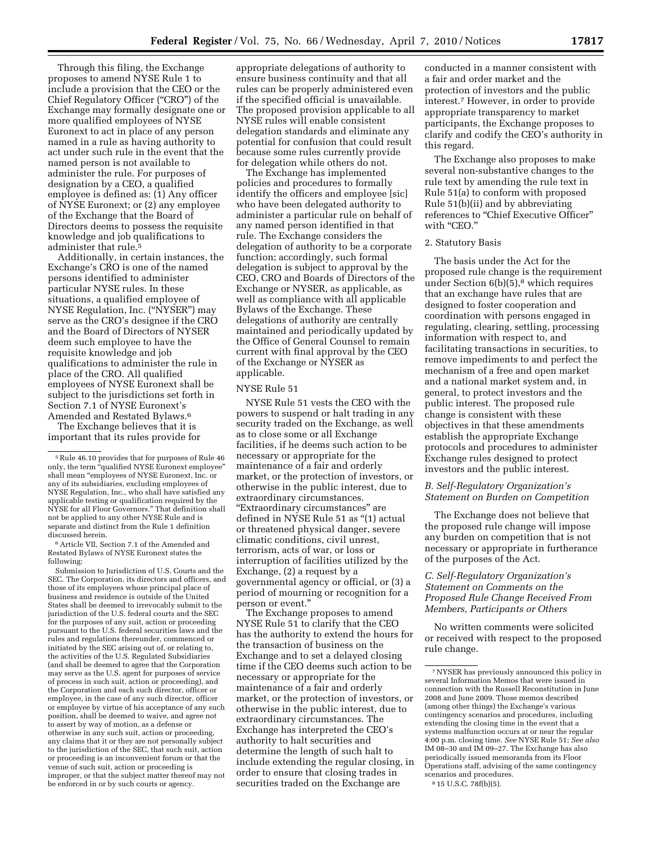Through this filing, the Exchange proposes to amend NYSE Rule 1 to include a provision that the CEO or the Chief Regulatory Officer (''CRO'') of the Exchange may formally designate one or more qualified employees of NYSE Euronext to act in place of any person named in a rule as having authority to act under such rule in the event that the named person is not available to administer the rule. For purposes of designation by a CEO, a qualified employee is defined as: (1) Any officer of NYSE Euronext; or (2) any employee of the Exchange that the Board of Directors deems to possess the requisite knowledge and job qualifications to administer that rule.5

Additionally, in certain instances, the Exchange's CRO is one of the named persons identified to administer particular NYSE rules. In these situations, a qualified employee of NYSE Regulation, Inc. (''NYSER'') may serve as the CRO's designee if the CRO and the Board of Directors of NYSER deem such employee to have the requisite knowledge and job qualifications to administer the rule in place of the CRO. All qualified employees of NYSE Euronext shall be subject to the jurisdictions set forth in Section 7.1 of NYSE Euronext's Amended and Restated Bylaws.6

The Exchange believes that it is important that its rules provide for

6Article VII, Section 7.1 of the Amended and Restated Bylaws of NYSE Euronext states the following:

Submission to Jurisdiction of U.S. Courts and the SEC. The Corporation, its directors and officers, and those of its employees whose principal place of business and residence is outside of the United States shall be deemed to irrevocably submit to the jurisdiction of the U.S. federal courts and the SEC for the purposes of any suit, action or proceeding pursuant to the U.S. federal securities laws and the rules and regulations thereunder, commenced or initiated by the SEC arising out of, or relating to, the activities of the U.S. Regulated Subsidiaries (and shall be deemed to agree that the Corporation may serve as the U.S. agent for purposes of service of process in such suit, action or proceeding), and the Corporation and each such director, officer or employee, in the case of any such director, officer or employee by virtue of his acceptance of any such position, shall be deemed to waive, and agree not to assert by way of motion, as a defense or otherwise in any such suit, action or proceeding, any claims that it or they are not personally subject to the jurisdiction of the SEC, that such suit, action or proceeding is an inconvenient forum or that the venue of such suit, action or proceeding is improper, or that the subject matter thereof may not be enforced in or by such courts or agency.

appropriate delegations of authority to ensure business continuity and that all rules can be properly administered even if the specified official is unavailable. The proposed provision applicable to all NYSE rules will enable consistent delegation standards and eliminate any potential for confusion that could result because some rules currently provide for delegation while others do not.

The Exchange has implemented policies and procedures to formally identify the officers and employee [sic] who have been delegated authority to administer a particular rule on behalf of any named person identified in that rule. The Exchange considers the delegation of authority to be a corporate function; accordingly, such formal delegation is subject to approval by the CEO, CRO and Boards of Directors of the Exchange or NYSER, as applicable, as well as compliance with all applicable Bylaws of the Exchange. These delegations of authority are centrally maintained and periodically updated by the Office of General Counsel to remain current with final approval by the CEO of the Exchange or NYSER as applicable.

#### NYSE Rule 51

NYSE Rule 51 vests the CEO with the powers to suspend or halt trading in any security traded on the Exchange, as well as to close some or all Exchange facilities, if he deems such action to be necessary or appropriate for the maintenance of a fair and orderly market, or the protection of investors, or otherwise in the public interest, due to extraordinary circumstances. ''Extraordinary circumstances'' are defined in NYSE Rule 51 as "(1) actual or threatened physical danger, severe climatic conditions, civil unrest, terrorism, acts of war, or loss or interruption of facilities utilized by the Exchange, (2) a request by a governmental agency or official, or (3) a period of mourning or recognition for a person or event.''

The Exchange proposes to amend NYSE Rule 51 to clarify that the CEO has the authority to extend the hours for the transaction of business on the Exchange and to set a delayed closing time if the CEO deems such action to be necessary or appropriate for the maintenance of a fair and orderly market, or the protection of investors, or otherwise in the public interest, due to extraordinary circumstances. The Exchange has interpreted the CEO's authority to halt securities and determine the length of such halt to include extending the regular closing, in order to ensure that closing trades in securities traded on the Exchange are

conducted in a manner consistent with a fair and order market and the protection of investors and the public interest.7 However, in order to provide appropriate transparency to market participants, the Exchange proposes to clarify and codify the CEO's authority in this regard.

The Exchange also proposes to make several non-substantive changes to the rule text by amending the rule text in Rule 51(a) to conform with proposed Rule 51(b)(ii) and by abbreviating references to "Chief Executive Officer" with "CEO."

# 2. Statutory Basis

The basis under the Act for the proposed rule change is the requirement under Section  $6(b)(5)$ ,<sup>8</sup> which requires that an exchange have rules that are designed to foster cooperation and coordination with persons engaged in regulating, clearing, settling, processing information with respect to, and facilitating transactions in securities, to remove impediments to and perfect the mechanism of a free and open market and a national market system and, in general, to protect investors and the public interest. The proposed rule change is consistent with these objectives in that these amendments establish the appropriate Exchange protocols and procedures to administer Exchange rules designed to protect investors and the public interest.

## *B. Self-Regulatory Organization's Statement on Burden on Competition*

The Exchange does not believe that the proposed rule change will impose any burden on competition that is not necessary or appropriate in furtherance of the purposes of the Act.

# *C. Self-Regulatory Organization's Statement on Comments on the Proposed Rule Change Received From Members, Participants or Others*

No written comments were solicited or received with respect to the proposed rule change.

<sup>5</sup>Rule 46.10 provides that for purposes of Rule 46 only, the term "qualified NYSE Euronext employee' shall mean ''employees of NYSE Euronext, Inc. or any of its subsidiaries, excluding employees of NYSE Regulation, Inc., who shall have satisfied any applicable testing or qualification required by the NYSE for all Floor Governors.'' That definition shall not be applied to any other NYSE Rule and is separate and distinct from the Rule 1 definition discussed herein.

<sup>7</sup>NYSER has previously announced this policy in several Information Memos that were issued in connection with the Russell Reconstitution in June 2008 and June 2009. Those memos described (among other things) the Exchange's various contingency scenarios and procedures, including extending the closing time in the event that a systems malfunction occurs at or near the regular 4:00 p.m. closing time. *See* NYSE Rule 51; *See also*  IM 08–30 and IM 09–27. The Exchange has also periodically issued memoranda from its Floor Operations staff, advising of the same contingency scenarios and procedures. 8 15 U.S.C. 78f(b)(5).